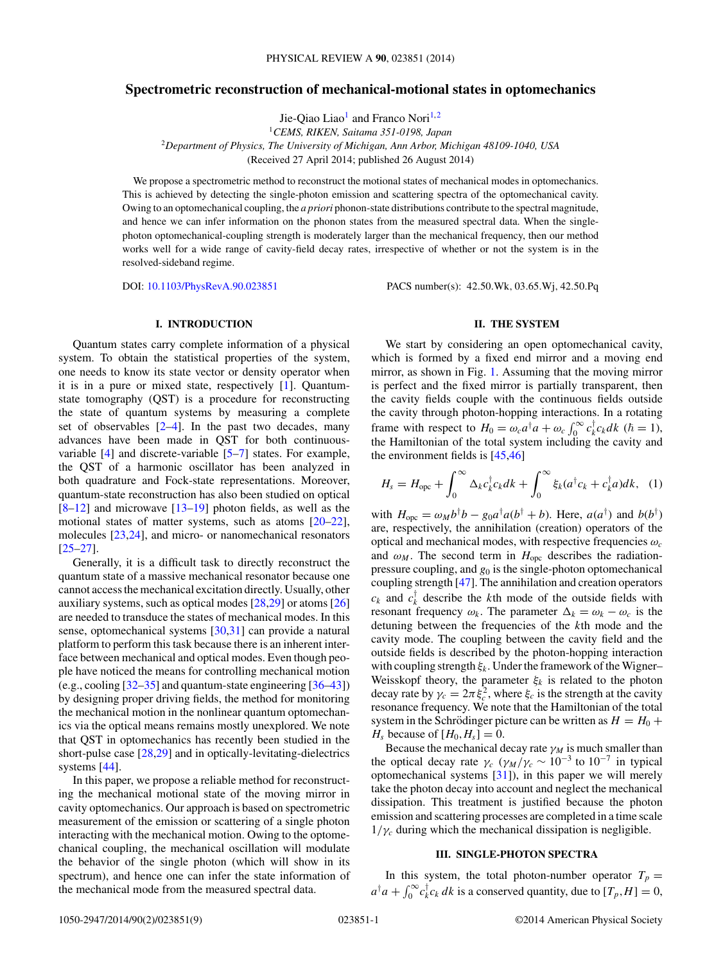# **Spectrometric reconstruction of mechanical-motional states in optomechanics**

Jie-Qiao Liao<sup>1</sup> and Franco Nori<sup>1,2</sup>

<sup>1</sup>*CEMS, RIKEN, Saitama 351-0198, Japan* <sup>2</sup>*Department of Physics, The University of Michigan, Ann Arbor, Michigan 48109-1040, USA*

(Received 27 April 2014; published 26 August 2014)

We propose a spectrometric method to reconstruct the motional states of mechanical modes in optomechanics. This is achieved by detecting the single-photon emission and scattering spectra of the optomechanical cavity. Owing to an optomechanical coupling, the *a priori* phonon-state distributions contribute to the spectral magnitude, and hence we can infer information on the phonon states from the measured spectral data. When the singlephoton optomechanical-coupling strength is moderately larger than the mechanical frequency, then our method works well for a wide range of cavity-field decay rates, irrespective of whether or not the system is in the resolved-sideband regime.

DOI: [10.1103/PhysRevA.90.023851](http://dx.doi.org/10.1103/PhysRevA.90.023851) PACS number(s): 42*.*50*.*Wk*,* 03*.*65*.*Wj*,* 42*.*50*.*Pq

## **I. INTRODUCTION**

Quantum states carry complete information of a physical system. To obtain the statistical properties of the system, one needs to know its state vector or density operator when it is in a pure or mixed state, respectively [\[1\]](#page-7-0). Quantumstate tomography (QST) is a procedure for reconstructing the state of quantum systems by measuring a complete set of observables  $[2-4]$ . In the past two decades, many advances have been made in QST for both continuousvariable [\[4\]](#page-7-0) and discrete-variable [\[5–7\]](#page-7-0) states. For example, the QST of a harmonic oscillator has been analyzed in both quadrature and Fock-state representations. Moreover, quantum-state reconstruction has also been studied on optical  $[8-12]$  and microwave  $[13-19]$  photon fields, as well as the motional states of matter systems, such as atoms [\[20–22\]](#page-7-0), molecules [\[23,24\]](#page-7-0), and micro- or nanomechanical resonators [\[25–27\]](#page-7-0).

Generally, it is a difficult task to directly reconstruct the quantum state of a massive mechanical resonator because one cannot access the mechanical excitation directly. Usually, other auxiliary systems, such as optical modes [\[28,29\]](#page-7-0) or atoms [\[26\]](#page-7-0) are needed to transduce the states of mechanical modes. In this sense, optomechanical systems [\[30,31\]](#page-7-0) can provide a natural platform to perform this task because there is an inherent interface between mechanical and optical modes. Even though people have noticed the means for controlling mechanical motion (e.g., cooling [\[32–35\]](#page-7-0) and quantum-state engineering [\[36–](#page-7-0)[43\]](#page-8-0)) by designing proper driving fields, the method for monitoring the mechanical motion in the nonlinear quantum optomechanics via the optical means remains mostly unexplored. We note that QST in optomechanics has recently been studied in the short-pulse case [\[28,29\]](#page-7-0) and in optically-levitating-dielectrics systems [\[44\]](#page-8-0).

In this paper, we propose a reliable method for reconstructing the mechanical motional state of the moving mirror in cavity optomechanics. Our approach is based on spectrometric measurement of the emission or scattering of a single photon interacting with the mechanical motion. Owing to the optomechanical coupling, the mechanical oscillation will modulate the behavior of the single photon (which will show in its spectrum), and hence one can infer the state information of the mechanical mode from the measured spectral data.

## **II. THE SYSTEM**

We start by considering an open optomechanical cavity, which is formed by a fixed end mirror and a moving end mirror, as shown in Fig. [1.](#page-1-0) Assuming that the moving mirror is perfect and the fixed mirror is partially transparent, then the cavity fields couple with the continuous fields outside the cavity through photon-hopping interactions. In a rotating frame with respect to  $H_0 = \omega_c a^{\dagger} a + \omega_c \int_0^{\infty} c_k^{\dagger} c_k dk$  ( $\hbar = 1$ ), the Hamiltonian of the total system including the cavity and the environment fields is [\[45,46\]](#page-8-0)

$$
H_s = H_{\rm opc} + \int_0^\infty \Delta_k c_k^\dagger c_k dk + \int_0^\infty \xi_k (a^\dagger c_k + c_k^\dagger a) dk, \tag{1}
$$

with  $H_{\text{opc}} = \omega_M b^{\dagger} b - g_0 a^{\dagger} a (b^{\dagger} + b)$ . Here,  $a(a^{\dagger})$  and  $b(b^{\dagger})$ are, respectively, the annihilation (creation) operators of the optical and mechanical modes, with respective frequencies *ωc* and  $\omega_M$ . The second term in  $H_{\text{opc}}$  describes the radiationpressure coupling, and *g*<sup>0</sup> is the single-photon optomechanical coupling strength [\[47\]](#page-8-0). The annihilation and creation operators  $c_k$  and  $c_k^{\dagger}$  describe the *k*th mode of the outside fields with resonant frequency  $\omega_k$ . The parameter  $\Delta_k = \omega_k - \omega_c$  is the detuning between the frequencies of the *k*th mode and the cavity mode. The coupling between the cavity field and the outside fields is described by the photon-hopping interaction with coupling strength *ξk*. Under the framework of the Wigner– Weisskopf theory, the parameter  $\xi_k$  is related to the photon decay rate by  $\gamma_c = 2\pi \xi_c^2$ , where  $\xi_c$  is the strength at the cavity resonance frequency. We note that the Hamiltonian of the total system in the Schrödinger picture can be written as  $H = H_0 +$  $H_s$  because of  $[H_0, H_s] = 0$ .

Because the mechanical decay rate  $\gamma_M$  is much smaller than the optical decay rate  $\gamma_c$  ( $\gamma_M/\gamma_c \sim 10^{-3}$  to  $10^{-7}$  in typical optomechanical systems [\[31\]](#page-7-0)), in this paper we will merely take the photon decay into account and neglect the mechanical dissipation. This treatment is justified because the photon emission and scattering processes are completed in a time scale  $1/\gamma_c$  during which the mechanical dissipation is negligible.

#### **III. SINGLE-PHOTON SPECTRA**

In this system, the total photon-number operator  $T_p =$  $a^{\dagger}a + \int_0^{\infty} c_k^{\dagger}c_k dk$  is a conserved quantity, due to  $[T_p, H] = 0$ ,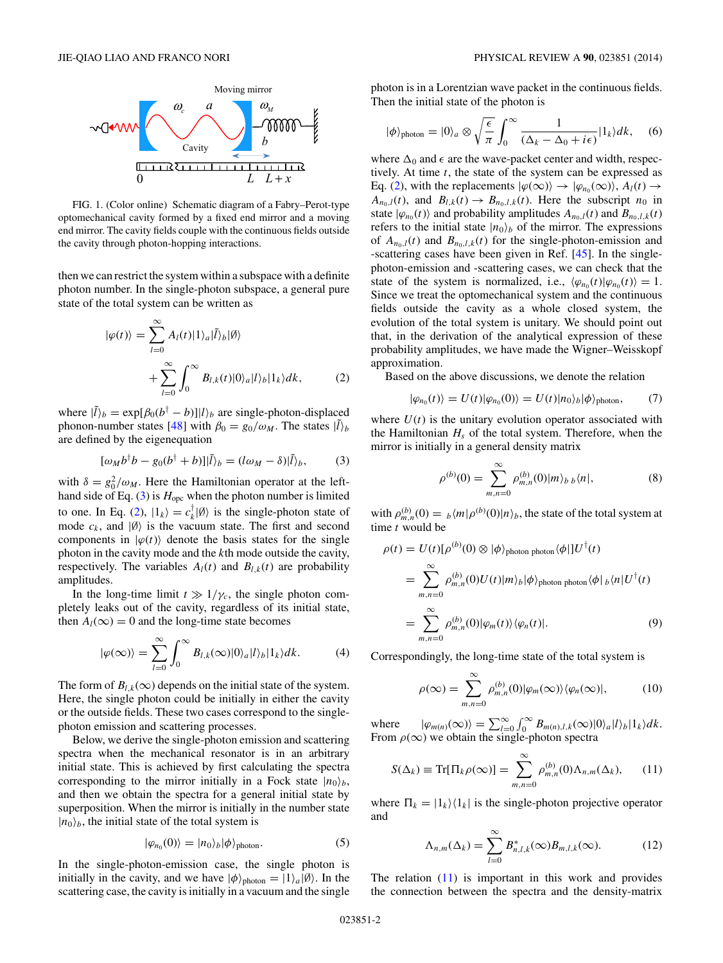<span id="page-1-0"></span>

FIG. 1. (Color online) Schematic diagram of a Fabry–Perot-type optomechanical cavity formed by a fixed end mirror and a moving end mirror. The cavity fields couple with the continuous fields outside the cavity through photon-hopping interactions.

then we can restrict the system within a subspace with a definite photon number. In the single-photon subspace, a general pure state of the total system can be written as

$$
|\varphi(t)\rangle = \sum_{l=0}^{\infty} A_l(t) |1\rangle_a |\tilde{l}\rangle_b |\emptyset\rangle + \sum_{l=0}^{\infty} \int_0^{\infty} B_{l,k}(t) |0\rangle_a |l\rangle_b |1_k\rangle dk,
$$
 (2)

where  $|\tilde{l}\rangle_b = \exp[\beta_0(b^\dagger - b)]|l\rangle_b$  are single-photon-displaced phonon-number states [\[48\]](#page-8-0) with  $\beta_0 = g_0/\omega_M$ . The states  $|\tilde{l}\rangle_b$ are defined by the eigenequation

$$
[\omega_M b^{\dagger} b - g_0 (b^{\dagger} + b)] | \tilde{l} \rangle_b = (l \omega_M - \delta) | \tilde{l} \rangle_b, \tag{3}
$$

with  $\delta = g_0^2/\omega_M$ . Here the Hamiltonian operator at the lefthand side of Eq.  $(3)$  is  $H_{\text{opc}}$  when the photon number is limited to one. In Eq. (2),  $|1_k\rangle = c_k^{\dagger}|\emptyset\rangle$  is the single-photon state of mode  $c_k$ , and  $|\emptyset\rangle$  is the vacuum state. The first and second components in  $|\varphi(t)\rangle$  denote the basis states for the single photon in the cavity mode and the *k*th mode outside the cavity, respectively. The variables  $A_l(t)$  and  $B_{l,k}(t)$  are probability amplitudes.

In the long-time limit  $t \gg 1/\gamma_c$ , the single photon completely leaks out of the cavity, regardless of its initial state, then  $A_l(\infty) = 0$  and the long-time state becomes

$$
|\varphi(\infty)\rangle = \sum_{l=0}^{\infty} \int_0^{\infty} B_{l,k}(\infty) |0\rangle_a |l\rangle_b |1_k\rangle dk. \tag{4}
$$

The form of  $B_{l,k}(\infty)$  depends on the initial state of the system. Here, the single photon could be initially in either the cavity or the outside fields. These two cases correspond to the singlephoton emission and scattering processes.

Below, we derive the single-photon emission and scattering spectra when the mechanical resonator is in an arbitrary initial state. This is achieved by first calculating the spectra corresponding to the mirror initially in a Fock state  $|n_0\rangle_b$ , and then we obtain the spectra for a general initial state by superposition. When the mirror is initially in the number state  $|n_0\rangle_b$ , the initial state of the total system is

$$
|\varphi_{n_0}(0)\rangle = |n_0\rangle_b |\phi\rangle_{\text{photon}}.\tag{5}
$$

In the single-photon-emission case, the single photon is initially in the cavity, and we have  $|\phi\rangle_{\text{photon}} = |1\rangle_a |\emptyset\rangle$ . In the scattering case, the cavity is initially in a vacuum and the single

photon is in a Lorentzian wave packet in the continuous fields. Then the initial state of the photon is

$$
|\phi\rangle_{photon} = |0\rangle_a \otimes \sqrt{\frac{\epsilon}{\pi}} \int_0^\infty \frac{1}{(\Delta_k - \Delta_0 + i\epsilon)} |1_k\rangle dk, \quad (6)
$$

where  $\Delta_0$  and  $\epsilon$  are the wave-packet center and width, respectively. At time *t*, the state of the system can be expressed as Eq. (2), with the replacements  $|\varphi(\infty)\rangle \to |\varphi_{n_0}(\infty)\rangle$ ,  $A_l(t) \to$  $A_{n_0,l}(t)$ , and  $B_{l,k}(t) \rightarrow B_{n_0,l,k}(t)$ . Here the subscript  $n_0$  in state  $|\varphi_{n_0}(t)\rangle$  and probability amplitudes  $A_{n_0,l}(t)$  and  $B_{n_0,l,k}(t)$ refers to the initial state  $|n_0\rangle_b$  of the mirror. The expressions of  $A_{n_0,l}(t)$  and  $B_{n_0,l,k}(t)$  for the single-photon-emission and -scattering cases have been given in Ref. [\[45\]](#page-8-0). In the singlephoton-emission and -scattering cases, we can check that the state of the system is normalized, i.e.,  $\langle \varphi_{n_0}(t)|\varphi_{n_0}(t)\rangle = 1$ . Since we treat the optomechanical system and the continuous fields outside the cavity as a whole closed system, the evolution of the total system is unitary. We should point out that, in the derivation of the analytical expression of these probability amplitudes, we have made the Wigner–Weisskopf approximation.

Based on the above discussions, we denote the relation

$$
|\varphi_{n_0}(t)\rangle = U(t)|\varphi_{n_0}(0)\rangle = U(t)|n_0\rangle_b|\varphi\rangle_{\text{photon}},\qquad(7)
$$

where  $U(t)$  is the unitary evolution operator associated with the Hamiltonian  $H_s$  of the total system. Therefore, when the mirror is initially in a general density matrix

$$
\rho^{(b)}(0) = \sum_{m,n=0}^{\infty} \rho_{m,n}^{(b)}(0) |m\rangle_b \, |n|,\tag{8}
$$

with  $\rho_{m,n}^{(b)}(0) = b \langle m | \rho^{(b)}(0) | n \rangle_b$ , the state of the total system at time *t* would be

$$
\rho(t) = U(t)[\rho^{(b)}(0) \otimes |\phi\rangle_{\text{photon photon}} \langle \phi|]U^{\dagger}(t)
$$
  
\n
$$
= \sum_{m,n=0}^{\infty} \rho_{m,n}^{(b)}(0)U(t)|m\rangle_b |\phi\rangle_{\text{photon photon}} \langle \phi|_b \langle n|U^{\dagger}(t)
$$
  
\n
$$
= \sum_{m,n=0}^{\infty} \rho_{m,n}^{(b)}(0)|\varphi_m(t)\rangle \langle \varphi_n(t)|. \tag{9}
$$

Correspondingly, the long-time state of the total system is

$$
\rho(\infty) = \sum_{m,n=0}^{\infty} \rho_{m,n}^{(b)}(0) |\varphi_m(\infty)\rangle \langle \varphi_n(\infty)|, \tag{10}
$$

where  $|\varphi_{m(n)}(\infty)\rangle = \sum_{l=0}^{\infty} \int_{0}^{\infty} B_{m(n),l,k}(\infty)|0\rangle_{a}|l\rangle_{b}|1_{k}\rangle dk.$ From  $\rho(\infty)$  we obtain the single-photon spectra

$$
S(\Delta_k) \equiv \text{Tr}[\Pi_k \rho(\infty)] = \sum_{m,n=0}^{\infty} \rho_{m,n}^{(b)}(0) \Lambda_{n,m}(\Delta_k), \qquad (11)
$$

where  $\Pi_k = |1_k\rangle\langle 1_k|$  is the single-photon projective operator and

$$
\Lambda_{n,m}(\Delta_k) = \sum_{l=0}^{\infty} B_{n,l,k}^*(\infty) B_{m,l,k}(\infty).
$$
 (12)

The relation (11) is important in this work and provides the connection between the spectra and the density-matrix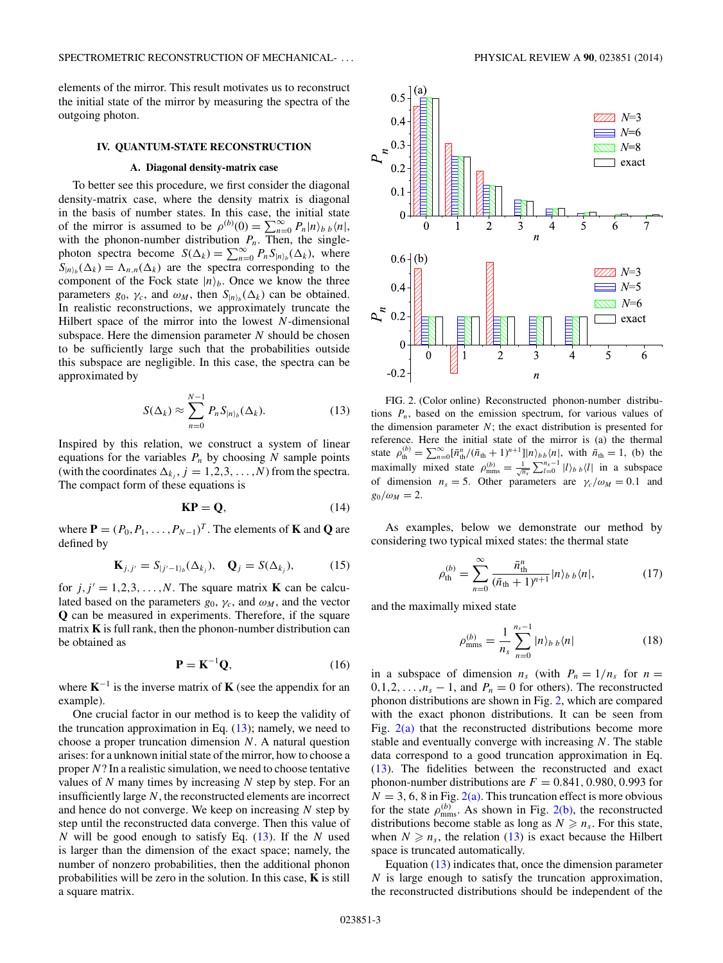<span id="page-2-0"></span>elements of the mirror. This result motivates us to reconstruct the initial state of the mirror by measuring the spectra of the outgoing photon.

#### **IV. QUANTUM-STATE RECONSTRUCTION**

## **A. Diagonal density-matrix case**

To better see this procedure, we first consider the diagonal density-matrix case, where the density matrix is diagonal in the basis of number states. In this case, the initial state of the mirror is assumed to be  $\rho^{(b)}(0) = \sum_{n=0}^{\infty} P_n |n\rangle_b$   $\langle n|$ , with the phonon-number distribution  $P_n$ . Then, the singlephoton spectra become  $S(\Delta_k) = \sum_{n=0}^{\infty} P_n S_{|n\rangle_b}(\Delta_k)$ , where  $S_{|n\rangle_b}(\Delta_k) = \Lambda_{n,n}(\Delta_k)$  are the spectra corresponding to the component of the Fock state  $|n\rangle_b$ . Once we know the three parameters  $g_0$ ,  $\gamma_c$ , and  $\omega_M$ , then  $S_{|n\rangle_b}(\Delta_k)$  can be obtained. In realistic reconstructions, we approximately truncate the Hilbert space of the mirror into the lowest *N*-dimensional subspace. Here the dimension parameter *N* should be chosen to be sufficiently large such that the probabilities outside this subspace are negligible. In this case, the spectra can be approximated by

$$
S(\Delta_k) \approx \sum_{n=0}^{N-1} P_n S_{|n\rangle_b}(\Delta_k). \tag{13}
$$

Inspired by this relation, we construct a system of linear equations for the variables  $P_n$  by choosing  $N$  sample points (with the coordinates  $\Delta_{k_i}$ ,  $j = 1, 2, 3, \dots, N$ ) from the spectra. The compact form of these equations is

$$
\mathbf{KP} = \mathbf{Q},\tag{14}
$$

where  $P = (P_0, P_1, \ldots, P_{N-1})^T$ . The elements of **K** and **Q** are defined by

$$
\mathbf{K}_{j,j'} = S_{|j'-1\rangle_b}(\Delta_{k_j}), \quad \mathbf{Q}_j = S(\Delta_{k_j}), \tag{15}
$$

for  $j, j' = 1, 2, 3, \ldots, N$ . The square matrix **K** can be calculated based on the parameters  $g_0$ ,  $\gamma_c$ , and  $\omega_M$ , and the vector **Q** can be measured in experiments. Therefore, if the square matrix **K** is full rank, then the phonon-number distribution can be obtained as

$$
\mathbf{P} = \mathbf{K}^{-1} \mathbf{Q},\tag{16}
$$

where  $K^{-1}$  is the inverse matrix of K (see the appendix for an example).

One crucial factor in our method is to keep the validity of the truncation approximation in Eq.  $(13)$ ; namely, we need to choose a proper truncation dimension *N*. A natural question arises: for a unknown initial state of the mirror, how to choose a proper *N*? In a realistic simulation, we need to choose tentative values of *N* many times by increasing *N* step by step. For an insufficiently large *N*, the reconstructed elements are incorrect and hence do not converge. We keep on increasing *N* step by step until the reconstructed data converge. Then this value of *N* will be good enough to satisfy Eq. (13). If the *N* used is larger than the dimension of the exact space; namely, the number of nonzero probabilities, then the additional phonon probabilities will be zero in the solution. In this case, **K** is still a square matrix.



FIG. 2. (Color online) Reconstructed phonon-number distributions  $P_n$ , based on the emission spectrum, for various values of the dimension parameter *N*; the exact distribution is presented for reference. Here the initial state of the mirror is (a) the thermal state  $\rho_{\text{th}}^{(b)} = \sum_{n=0}^{\infty} [\bar{n}_{\text{th}}^n / (\bar{n}_{\text{th}} + 1)^{n+1}] |n\rangle_{bb} \langle n|$ , with  $\bar{n}_{\text{th}} = 1$ , (b) the maximally mixed state  $\rho_{\text{mms}}^{(b)} = \frac{1}{\sqrt{n_s}} \sum_{l=0}^{n_s-1} |l\rangle_b| l_l$  in a subspace of dimension  $n_s = 5$ . Other parameters are  $\gamma_c/\omega_M = 0.1$  and  $g_0/\omega_M = 2$ .

As examples, below we demonstrate our method by considering two typical mixed states: the thermal state

$$
\rho_{\rm th}^{(b)} = \sum_{n=0}^{\infty} \frac{\bar{n}_{\rm th}^n}{(\bar{n}_{\rm th} + 1)^{n+1}} |n\rangle_{b\ b}\langle n|,\tag{17}
$$

and the maximally mixed state

$$
\rho_{\rm mms}^{(b)} = \frac{1}{n_s} \sum_{n=0}^{n_s - 1} |n\rangle_b \, |n| \tag{18}
$$

in a subspace of dimension  $n_s$  (with  $P_n = 1/n_s$  for  $n =$  $0, 1, 2, \ldots, n_s - 1$ , and  $P_n = 0$  for others). The reconstructed phonon distributions are shown in Fig. 2, which are compared with the exact phonon distributions. It can be seen from Fig.  $2(a)$  that the reconstructed distributions become more stable and eventually converge with increasing *N*. The stable data correspond to a good truncation approximation in Eq. (13). The fidelities between the reconstructed and exact phonon-number distributions are  $F = 0.841, 0.980, 0.993$  for  $N = 3, 6, 8$  in Fig. 2(a). This truncation effect is more obvious for the state  $\rho_{\text{mms}}^{(b)}$ . As shown in Fig. 2(b), the reconstructed distributions become stable as long as  $N \geq n_s$ . For this state, when  $N \geq n_s$ , the relation (13) is exact because the Hilbert space is truncated automatically.

Equation (13) indicates that, once the dimension parameter *N* is large enough to satisfy the truncation approximation, the reconstructed distributions should be independent of the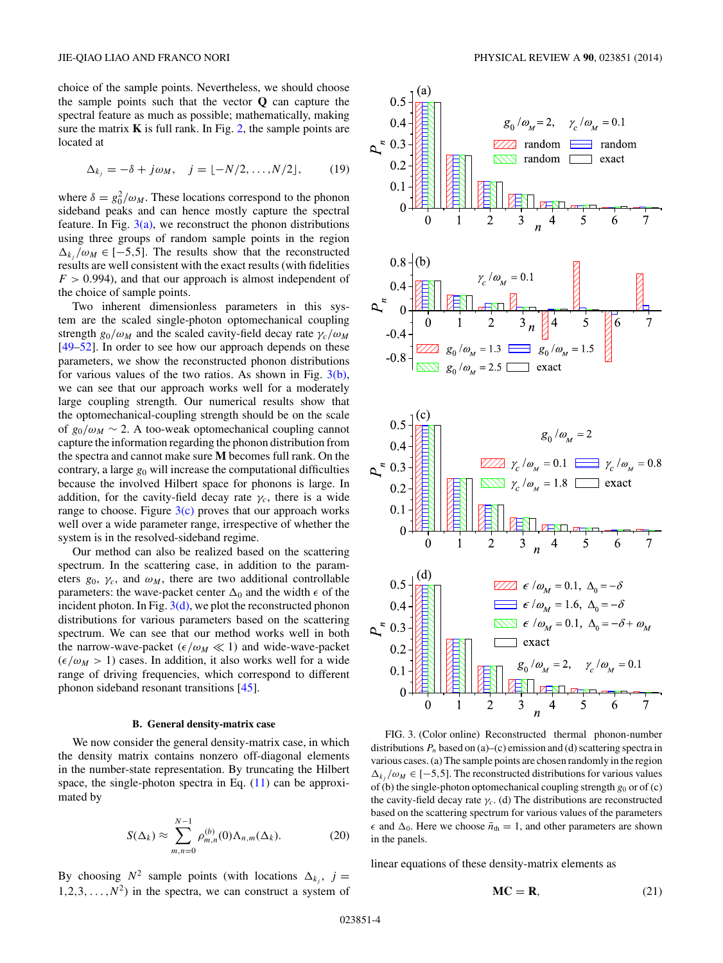choice of the sample points. Nevertheless, we should choose the sample points such that the vector **Q** can capture the spectral feature as much as possible; mathematically, making sure the matrix  $\bf{K}$  is full rank. In Fig. [2,](#page-2-0) the sample points are located at

$$
\Delta_{k_j} = -\delta + j\omega_M, \quad j = \lfloor -N/2, \dots, N/2 \rfloor, \tag{19}
$$

where  $\delta = g_0^2/\omega_M$ . These locations correspond to the phonon sideband peaks and can hence mostly capture the spectral feature. In Fig.  $3(a)$ , we reconstruct the phonon distributions using three groups of random sample points in the region  $\Delta_k$ *, /ωM*  $\in$  [−5*,5*]. The results show that the reconstructed results are well consistent with the exact results (with fidelities  $F > 0.994$ , and that our approach is almost independent of the choice of sample points.

Two inherent dimensionless parameters in this system are the scaled single-photon optomechanical coupling strength  $g_0/\omega_M$  and the scaled cavity-field decay rate  $\gamma_c/\omega_M$ [\[49–52\]](#page-8-0). In order to see how our approach depends on these parameters, we show the reconstructed phonon distributions for various values of the two ratios. As shown in Fig.  $3(b)$ , we can see that our approach works well for a moderately large coupling strength. Our numerical results show that the optomechanical-coupling strength should be on the scale of  $g_0/\omega_M \sim 2$ . A too-weak optomechanical coupling cannot capture the information regarding the phonon distribution from the spectra and cannot make sure **M** becomes full rank. On the contrary, a large  $g_0$  will increase the computational difficulties because the involved Hilbert space for phonons is large. In addition, for the cavity-field decay rate  $\gamma_c$ , there is a wide range to choose. Figure  $3(c)$  proves that our approach works well over a wide parameter range, irrespective of whether the system is in the resolved-sideband regime.

Our method can also be realized based on the scattering spectrum. In the scattering case, in addition to the parameters  $g_0$ ,  $\gamma_c$ , and  $\omega_M$ , there are two additional controllable parameters: the wave-packet center  $\Delta_0$  and the width  $\epsilon$  of the incident photon. In Fig.  $3(d)$ , we plot the reconstructed phonon distributions for various parameters based on the scattering spectrum. We can see that our method works well in both the narrow-wave-packet ( $\epsilon/\omega_M \ll 1$ ) and wide-wave-packet  $(\epsilon/\omega_M > 1)$  cases. In addition, it also works well for a wide range of driving frequencies, which correspond to different phonon sideband resonant transitions [\[45\]](#page-8-0).

## **B. General density-matrix case**

We now consider the general density-matrix case, in which the density matrix contains nonzero off-diagonal elements in the number-state representation. By truncating the Hilbert space, the single-photon spectra in Eq.  $(11)$  can be approximated by

$$
S(\Delta_k) \approx \sum_{m,n=0}^{N-1} \rho_{m,n}^{(b)}(0) \Lambda_{n,m}(\Delta_k).
$$
 (20)

By choosing  $N^2$  sample points (with locations  $\Delta_{k_i}$ ,  $j =$  $1, 2, 3, \ldots, N^2$  in the spectra, we can construct a system of



FIG. 3. (Color online) Reconstructed thermal phonon-number distributions  $P_n$  based on (a)–(c) emission and (d) scattering spectra in various cases. (a) The sample points are chosen randomly in the region  $\Delta_k$ *, /ωM* ∈ [−5,5]. The reconstructed distributions for various values of (b) the single-photon optomechanical coupling strength  $g_0$  or of (c) the cavity-field decay rate  $\gamma_c$ . (d) The distributions are reconstructed based on the scattering spectrum for various values of the parameters  $\epsilon$  and  $\Delta_0$ . Here we choose  $\bar{n}_{\text{th}} = 1$ , and other parameters are shown in the panels.

linear equations of these density-matrix elements as

$$
MC = R, \tag{21}
$$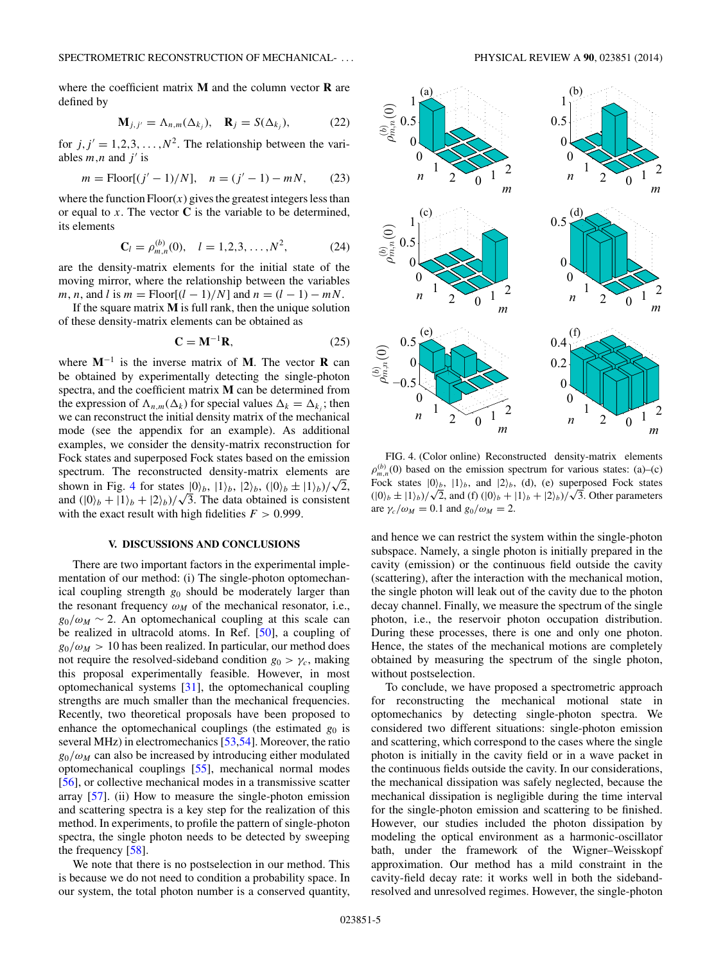where the coefficient matrix **M** and the column vector **R** are defined by

$$
\mathbf{M}_{j,j'} = \Lambda_{n,m}(\Delta_{k_j}), \quad \mathbf{R}_j = S(\Delta_{k_j}), \tag{22}
$$

for  $j, j' = 1, 2, 3, \ldots, N^2$ . The relationship between the variables  $m, n$  and  $j'$  is

$$
m = \text{Floor}[(j'-1)/N], \quad n = (j'-1) - mN,
$$
 (23)

where the function  $Floor(x)$  gives the greatest integers less than or equal to  $x$ . The vector  $C$  is the variable to be determined, its elements

$$
\mathbf{C}_l = \rho_{m,n}^{(b)}(0), \quad l = 1, 2, 3, \dots, N^2,
$$
 (24)

are the density-matrix elements for the initial state of the moving mirror, where the relationship between the variables *m*, *n*, and *l* is  $m =$  Floor[( $l - 1$ )/N] and  $n = (l - 1) - mN$ .

If the square matrix **M** is full rank, then the unique solution of these density-matrix elements can be obtained as

$$
\mathbf{C} = \mathbf{M}^{-1} \mathbf{R},\tag{25}
$$

where **M**−<sup>1</sup> is the inverse matrix of **M**. The vector **R** can be obtained by experimentally detecting the single-photon spectra, and the coefficient matrix **M** can be determined from the expression of  $\Lambda_{n,m}(\Delta_k)$  for special values  $\Delta_k = \Delta_{k,j}$ ; then we can reconstruct the initial density matrix of the mechanical mode (see the appendix for an example). As additional examples, we consider the density-matrix reconstruction for Fock states and superposed Fock states based on the emission spectrum. The reconstructed density-matrix elements are shown in Fig. 4 for states  $|0\rangle_b$ ,  $|1\rangle_b$ ,  $|2\rangle_b$ ,  $(|0\rangle_b \pm |1\rangle_b)/\sqrt{2}$ , and  $(|0\rangle_b + |1\rangle_b + |2\rangle_b)/\sqrt{3}$ . The data obtained is consistent with the exact result with high fidelities  $F > 0.999$ .

## **V. DISCUSSIONS AND CONCLUSIONS**

There are two important factors in the experimental implementation of our method: (i) The single-photon optomechanical coupling strength *g*<sup>0</sup> should be moderately larger than the resonant frequency  $\omega_M$  of the mechanical resonator, i.e.,  $g_0/\omega_M \sim 2$ . An optomechanical coupling at this scale can be realized in ultracold atoms. In Ref. [\[50\]](#page-8-0), a coupling of  $g_0/\omega_M > 10$  has been realized. In particular, our method does not require the resolved-sideband condition  $g_0 > \gamma_c$ , making this proposal experimentally feasible. However, in most optomechanical systems [\[31\]](#page-7-0), the optomechanical coupling strengths are much smaller than the mechanical frequencies. Recently, two theoretical proposals have been proposed to enhance the optomechanical couplings (the estimated  $g_0$  is several MHz) in electromechanics [\[53,54\]](#page-8-0). Moreover, the ratio  $g_0/\omega_M$  can also be increased by introducing either modulated optomechanical couplings [\[55\]](#page-8-0), mechanical normal modes [\[56\]](#page-8-0), or collective mechanical modes in a transmissive scatter array [\[57\]](#page-8-0). (ii) How to measure the single-photon emission and scattering spectra is a key step for the realization of this method. In experiments, to profile the pattern of single-photon spectra, the single photon needs to be detected by sweeping the frequency [\[58\]](#page-8-0).

We note that there is no postselection in our method. This is because we do not need to condition a probability space. In our system, the total photon number is a conserved quantity,



FIG. 4. (Color online) Reconstructed density-matrix elements  $\rho_{m,n}^{(b)}(0)$  based on the emission spectrum for various states: (a)–(c) Fock states  $|0\rangle_b$ ,  $|1\rangle_b$ , and  $|2\rangle_b$ , (d), (e) superposed Fock states ( $|0\rangle_b \pm |1\rangle_b$ )/ $\sqrt{2}$ , and (f) ( $|0\rangle_b + |1\rangle_b + |2\rangle_b$ )/ $\sqrt{3}$ . Other parameters are  $\gamma_c/\omega_M = 0.1$  and  $g_0/\omega_M = 2$ .

and hence we can restrict the system within the single-photon subspace. Namely, a single photon is initially prepared in the cavity (emission) or the continuous field outside the cavity (scattering), after the interaction with the mechanical motion, the single photon will leak out of the cavity due to the photon decay channel. Finally, we measure the spectrum of the single photon, i.e., the reservoir photon occupation distribution. During these processes, there is one and only one photon. Hence, the states of the mechanical motions are completely obtained by measuring the spectrum of the single photon, without postselection.

To conclude, we have proposed a spectrometric approach for reconstructing the mechanical motional state in optomechanics by detecting single-photon spectra. We considered two different situations: single-photon emission and scattering, which correspond to the cases where the single photon is initially in the cavity field or in a wave packet in the continuous fields outside the cavity. In our considerations, the mechanical dissipation was safely neglected, because the mechanical dissipation is negligible during the time interval for the single-photon emission and scattering to be finished. However, our studies included the photon dissipation by modeling the optical environment as a harmonic-oscillator bath, under the framework of the Wigner–Weisskopf approximation. Our method has a mild constraint in the cavity-field decay rate: it works well in both the sidebandresolved and unresolved regimes. However, the single-photon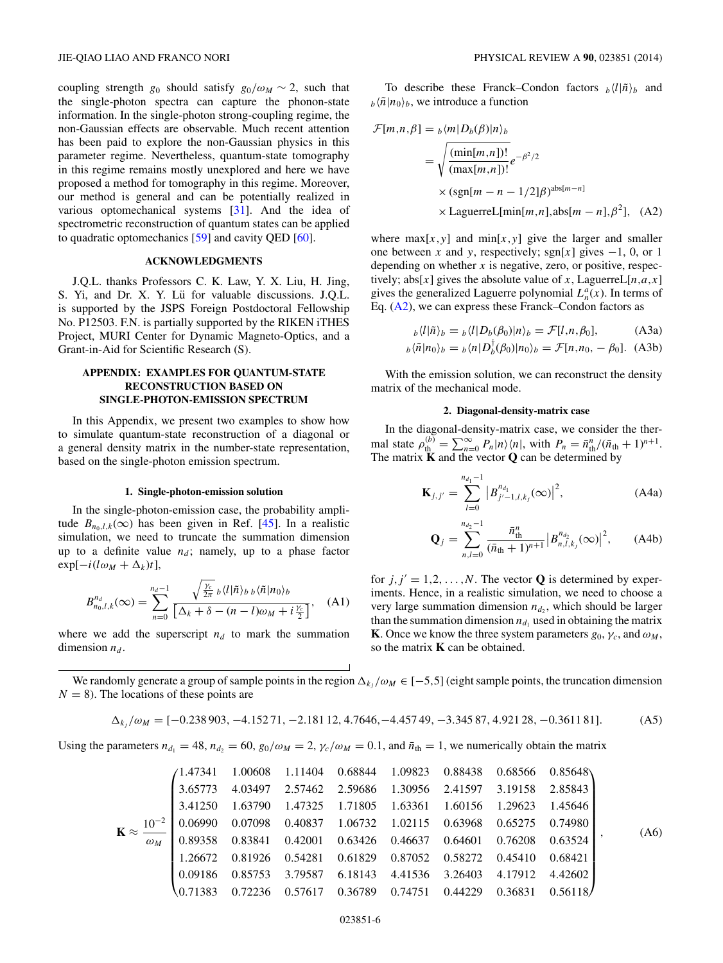<span id="page-5-0"></span>coupling strength *g*<sub>0</sub> should satisfy  $g_0/\omega_M \sim 2$ , such that the single-photon spectra can capture the phonon-state information. In the single-photon strong-coupling regime, the non-Gaussian effects are observable. Much recent attention has been paid to explore the non-Gaussian physics in this parameter regime. Nevertheless, quantum-state tomography in this regime remains mostly unexplored and here we have proposed a method for tomography in this regime. Moreover, our method is general and can be potentially realized in various optomechanical systems [\[31\]](#page-7-0). And the idea of spectrometric reconstruction of quantum states can be applied to quadratic optomechanics [\[59\]](#page-8-0) and cavity QED [\[60\]](#page-8-0).

#### **ACKNOWLEDGMENTS**

J.Q.L. thanks Professors C. K. Law, Y. X. Liu, H. Jing, S. Yi, and Dr. X. Y. Lü for valuable discussions. J.Q.L. is supported by the JSPS Foreign Postdoctoral Fellowship No. P12503. F.N. is partially supported by the RIKEN iTHES Project, MURI Center for Dynamic Magneto-Optics, and a Grant-in-Aid for Scientific Research (S).

## **APPENDIX: EXAMPLES FOR QUANTUM-STATE RECONSTRUCTION BASED ON SINGLE-PHOTON-EMISSION SPECTRUM**

In this Appendix, we present two examples to show how to simulate quantum-state reconstruction of a diagonal or a general density matrix in the number-state representation, based on the single-photon emission spectrum.

#### **1. Single-photon-emission solution**

In the single-photon-emission case, the probability amplitude  $B_{n_0,l,k}(\infty)$  has been given in Ref. [\[45\]](#page-8-0). In a realistic simulation, we need to truncate the summation dimension up to a definite value  $n_d$ ; namely, up to a phase factor  $\exp[-i(l\omega_M + \Delta_k)t],$ 

$$
B_{n_0,l,k}^{n_d}(\infty) = \sum_{n=0}^{n_d-1} \frac{\sqrt{\frac{\gamma_c}{2\pi}} \, b \langle l | \tilde{n} \rangle_{b \, b} \langle \tilde{n} | n_0 \rangle_b}{\left[ \Delta_k + \delta - (n-l)\omega_M + i \frac{\gamma_c}{2} \right]}, \quad (A1)
$$

where we add the superscript  $n_d$  to mark the summation dimension  $n_d$ .

To describe these Franck–Condon factors  $h \langle l | \tilde{n} \rangle_b$  and  $b \langle \tilde{n} | n_0 \rangle_b$ , we introduce a function

$$
\mathcal{F}[m,n,\beta] = \frac{1}{b} \langle m|D_b(\beta)|n\rangle_b
$$
\n
$$
= \sqrt{\frac{(\min[m,n])!}{(\max[m,n])!}} e^{-\beta^2/2}
$$
\n
$$
\times (\text{sgn}[m-n-1/2]\beta)^{\text{abs}[m-n]}
$$
\n
$$
\times \text{LaguerreL}[\min[m,n],\text{abs}[m-n],\beta^2], \quad (A2)
$$

where  $max[x, y]$  and  $min[x, y]$  give the larger and smaller one between *x* and *y*, respectively; sgn[*x*] gives  $-1$ , 0, or 1 depending on whether *x* is negative, zero, or positive, respectively; abs[x] gives the absolute value of x, LaguerreL[ $n, a, x$ ] gives the generalized Laguerre polynomial  $L_n^a(x)$ . In terms of Eq. (A2), we can express these Franck–Condon factors as

$$
b \langle l|\tilde{n}\rangle_b = b \langle l|D_b(\beta_0)|n\rangle_b = \mathcal{F}[l,n,\beta_0],\tag{A3a}
$$

$$
b\langle \tilde{n} | n_0 \rangle_b = b\langle n | D_b^{\dagger}(\beta_0) | n_0 \rangle_b = \mathcal{F}[n, n_0, -\beta_0].
$$
 (A3b)

With the emission solution, we can reconstruct the density matrix of the mechanical mode.

#### **2. Diagonal-density-matrix case**

In the diagonal-density-matrix case, we consider the thermal state  $\rho_{\text{th}}^{(b)} = \sum_{n=0}^{\infty} P_n |n\rangle\langle n|$ , with  $P_n = \bar{n}_{\text{th}}^n/(\bar{n}_{\text{th}} + 1)^{n+1}$ . The matrix **K** and the vector **Q** can be determined by

$$
\mathbf{K}_{j,j'} = \sum_{l=0}^{n_{d_1}-1} \left| B_{j'-1,l,k_j}^{n_{d_1}}(\infty) \right|^2, \tag{A4a}
$$

$$
\mathbf{Q}_{j} = \sum_{n,l=0}^{n_{d_{2}}-1} \frac{\bar{n}_{\text{th}}^{n}}{(\bar{n}_{\text{th}}+1)^{n+1}} \left| B_{n,l,k_{j}}^{n_{d_{2}}}(\infty) \right|^{2}, \quad \text{(A4b)}
$$

for  $j, j' = 1, 2, ..., N$ . The vector **Q** is determined by experiments. Hence, in a realistic simulation, we need to choose a very large summation dimension  $n_{d_2}$ , which should be larger than the summation dimension  $n_{d_1}$  used in obtaining the matrix **K**. Once we know the three system parameters  $g_0$ ,  $\gamma_c$ , and  $\omega_M$ , so the matrix **K** can be obtained.

We randomly generate a group of sample points in the region  $\Delta_{k_i}/\omega_M \in [-5,5]$  (eight sample points, the truncation dimension  $N = 8$ ). The locations of these points are

$$
\Delta_{k_j}/\omega_M = [-0.238903, -4.15271, -2.18112, 4.7646, -4.45749, -3.34587, 4.92128, -0.361181].
$$
 (A5)

Using the parameters  $n_{d_1} = 48$ ,  $n_{d_2} = 60$ ,  $g_0/\omega_M = 2$ ,  $\gamma_c/\omega_M = 0.1$ , and  $\bar{n}_{th} = 1$ , we numerically obtain the matrix

$$
\mathbf{K} \approx \frac{10^{-2}}{\omega_M} \begin{pmatrix} 1.47341 & 1.00608 & 1.11404 & 0.68844 & 1.09823 & 0.88438 & 0.68566 & 0.85648 \\ 3.65773 & 4.03497 & 2.57462 & 2.59686 & 1.30956 & 2.41597 & 3.19158 & 2.85843 \\ 3.41250 & 1.63790 & 1.47325 & 1.71805 & 1.63361 & 1.60156 & 1.29623 & 1.45646 \\ 0.06990 & 0.07098 & 0.40837 & 1.06732 & 1.02115 & 0.63968 & 0.65275 & 0.74980 \\ 0.89358 & 0.83841 & 0.42001 & 0.63426 & 0.46637 & 0.64601 & 0.76208 & 0.63524 \\ 1.26672 & 0.81926 & 0.54281 & 0.61829 & 0.87052 & 0.58272 & 0.45410 & 0.68421 \\ 0.09186 & 0.85753 & 3.79587 & 6.18143 & 4.41536 & 3.26403 & 4.17912 & 4.42602 \\ 0.71383 & 0.72236 & 0.57617 & 0.36789 & 0.74751 & 0.44229 & 0.36831 & 0.56118 \end{pmatrix},
$$
 (A6)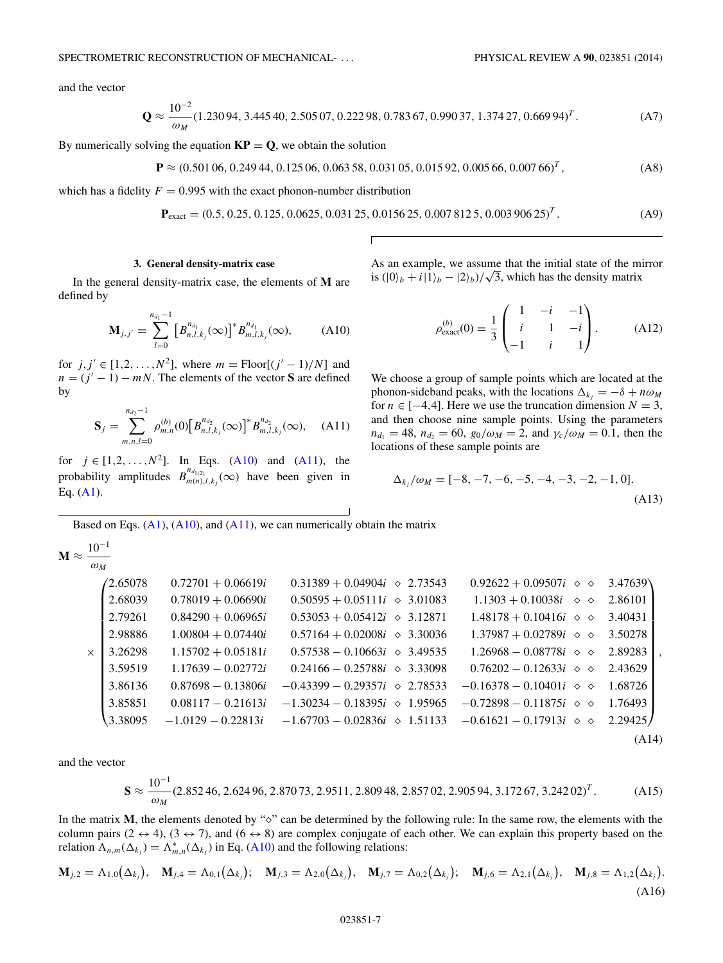and the vector

$$
\mathbf{Q} \approx \frac{10^{-2}}{\omega_M} (1.23094, 3.44540, 2.50507, 0.22298, 0.78367, 0.99037, 1.37427, 0.66994)^T. \tag{A7}
$$

By numerically solving the equation  $KP = Q$ , we obtain the solution

$$
\mathbf{P} \approx (0.501\,06, 0.249\,44, 0.125\,06, 0.063\,58, 0.031\,05, 0.015\,92, 0.005\,66, 0.007\,66)^T, \tag{A8}
$$

which has a fidelity  $F = 0.995$  with the exact phonon-number distribution

$$
\mathbf{P}_{\text{exact}} = (0.5, 0.25, 0.125, 0.0625, 0.03125, 0.015625, 0.0078125, 0.00390625)^T. \tag{A9}
$$

## **3. General density-matrix case**

In the general density-matrix case, the elements of **M** are defined by

$$
\mathbf{M}_{j,j'} = \sum_{l=0}^{n_{d_1}-1} \left[ B_{n,l,k_j}^{n_{d_1}}(\infty) \right]^* B_{m,l,k_j}^{n_{d_1}}(\infty), \tag{A10}
$$

for  $j, j' \in [1, 2, ..., N^2]$ , where  $m = \text{floor}[(j' - 1)/N]$  and  $n = (j' - 1) - mN$ . The elements of the vector **S** are defined by

$$
\mathbf{S}_{j} = \sum_{m,n,l=0}^{n_{d_{2}}-1} \rho_{m,n}^{(b)}(0) \left[ B_{n,l,k_{j}}^{n_{d_{2}}}(\infty) \right]^{*} B_{m,l,k_{j}}^{n_{d_{2}}}(\infty), \quad \text{(A11)}
$$

for  $j \in [1, 2, ..., N^2]$ . In Eqs. (A10) and (A11), the probability amplitudes  $B_{m(n),l,k_j}^{n_{d_{l(2)}}}(\infty)$  have been given in Eq.  $(A1)$ .

As an example, we assume that the initial state of the mirror is an example, we assume that the finite state of the m<br>is  $(|0\rangle_b + i|1\rangle_b - |2\rangle_b)/\sqrt{3}$ , which has the density matrix

$$
\rho_{\text{exact}}^{(b)}(0) = \frac{1}{3} \begin{pmatrix} 1 & -i & -1 \\ i & 1 & -i \\ -1 & i & 1 \end{pmatrix} . \tag{A12}
$$

We choose a group of sample points which are located at the phonon-sideband peaks, with the locations  $\Delta_{k_i} = -\delta + n\omega_M$ for  $n \in [-4, 4]$ . Here we use the truncation dimension  $N = 3$ , and then choose nine sample points. Using the parameters  $n_{d_1} = 48$ ,  $n_{d_2} = 60$ ,  $g_0/\omega_M = 2$ , and  $\gamma_c/\omega_M = 0.1$ , then the locations of these sample points are

$$
\Delta_{k_j}/\omega_M = [-8, -7, -6, -5, -4, -3, -2, -1, 0].
$$
\n(A13)

Based on Eqs.  $(A1)$ ,  $(A10)$ , and  $(A11)$ , we can numerically obtain the matrix

$$
\mathbf{M} \approx \frac{10^{-1}}{\omega_M}
$$

|          | 42.65078 | $0.72701 + 0.06619i$ | $0.31389 + 0.04904i \diamond 2.73543$ | $0.92622 + 0.09507i \diamond$                     | 3.47639 |
|----------|----------|----------------------|---------------------------------------|---------------------------------------------------|---------|
|          | 2.68039  | $0.78019 + 0.06690i$ | $0.50595 + 0.05111i \diamond 3.01083$ | $1.1303 + 0.10038i \quad \diamond \quad \diamond$ | 2.86101 |
|          | 2.79261  | $0.84290 + 0.06965i$ | $0.53053 + 0.05412i \diamond 3.12871$ | $1.48178 + 0.10416i \diamond \diamond$            | 3.40431 |
|          | 2.98886  | $1.00804 + 0.07440i$ | $0.57164 + 0.02008i \approx 3.30036$  | $1.37987 + 0.02789i \diamond$                     | 3.50278 |
| $\times$ | 3.26298  | $1.15702 + 0.05181i$ | $0.57538 - 0.10663i \diamond 3.49535$ | $1.26968 - 0.08778i \diamond 0$                   | 2.89283 |
|          | 3.59519  | $1.17639 - 0.02772i$ | $0.24166 - 0.25788i \diamond 3.33098$ | $0.76202 - 0.12633i \diamond 0$                   | 2.43629 |
|          | 3.86136  | $0.87698 - 0.13806i$ | $-0.43399 - 0.29357i \approx 2.78533$ | $-0.16378 - 0.10401i \diamond 0$                  | 1.68726 |
|          | 3.85851  | $0.08117 - 0.21613i$ | $-1.30234 - 0.18395i \approx 1.95965$ | $-0.72898 - 0.11875i \diamond 0$                  | 1.76493 |
|          | 3.38095  | $-1.0129 - 0.22813i$ | $-1.67703 - 0.02836i \approx 1.51133$ | $-0.61621 - 0.17913i \diamond 0$                  | 2.29425 |
|          |          |                      |                                       |                                                   | (A14)   |

and the vector

$$
\mathbf{S} \approx \frac{10^{-1}}{\omega_M} (2.852\,46, \, 2.624\,96, \, 2.870\,73, \, 2.9511, \, 2.809\,48, \, 2.857\,02, \, 2.905\,94, \, 3.172\,67, \, 3.242\,02)^T. \tag{A15}
$$

In the matrix M, the elements denoted by " $\circ$ " can be determined by the following rule: In the same row, the elements with the column pairs ( $2 \leftrightarrow 4$ ), ( $3 \leftrightarrow 7$ ), and ( $6 \leftrightarrow 8$ ) are complex conjugate of each other. We can explain this property based on the relation  $\Lambda_{n,m}(\Delta_{k_j}) = \Lambda_{m,n}^*(\Delta_{k_j})$  in Eq. (A10) and the following relations:

$$
\mathbf{M}_{j,2} = \Lambda_{1,0}(\Delta_{k_j}), \quad \mathbf{M}_{j,4} = \Lambda_{0,1}(\Delta_{k_j}); \quad \mathbf{M}_{j,3} = \Lambda_{2,0}(\Delta_{k_j}), \quad \mathbf{M}_{j,7} = \Lambda_{0,2}(\Delta_{k_j}); \quad \mathbf{M}_{j,6} = \Lambda_{2,1}(\Delta_{k_j}), \quad \mathbf{M}_{j,8} = \Lambda_{1,2}(\Delta_{k_j}).
$$
\n(A16)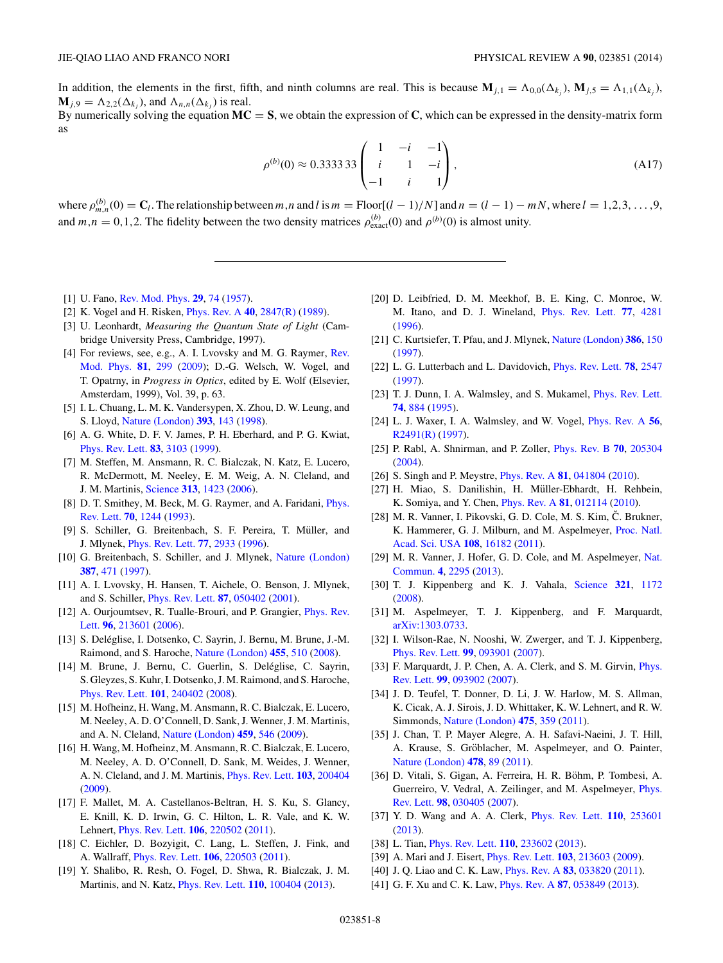<span id="page-7-0"></span>In addition, the elements in the first, fifth, and ninth columns are real. This is because  $\mathbf{M}_{j,1} = \Lambda_{0,0}(\Delta_{k,j})$ ,  $\mathbf{M}_{j,5} = \Lambda_{1,1}(\Delta_{k,j})$ ,  $\mathbf{M}_{i,9} = \Lambda_{2,2}(\Delta_{k,i})$ , and  $\Lambda_{n,n}(\Delta_{k,i})$  is real. By numerically solving the equation  $MC = S$ , we obtain the expression of  $C$ , which can be expressed in the density-matrix form

as

$$
\rho^{(b)}(0) \approx 0.3333333 \begin{pmatrix} 1 & -i & -1 \\ i & 1 & -i \\ -1 & i & 1 \end{pmatrix},
$$
\n(A17)

where  $\rho_{m,n}^{(b)}(0) = C_l$ . The relationship between m,n and l is  $m = \text{floor}[(l-1)/N]$  and  $n = (l-1) - mN$ , where  $l = 1, 2, 3, ..., 9$ , and  $m, n = 0, 1, 2$ . The fidelity between the two density matrices  $\rho_{\text{exact}}^{(b)}(0)$  and  $\rho^{(b)}(0)$  is almost unity.

- [1] U. Fano, [Rev. Mod. Phys.](http://dx.doi.org/10.1103/RevModPhys.29.74) **[29](http://dx.doi.org/10.1103/RevModPhys.29.74)**, [74](http://dx.doi.org/10.1103/RevModPhys.29.74) [\(1957\)](http://dx.doi.org/10.1103/RevModPhys.29.74).
- [2] K. Vogel and H. Risken, [Phys. Rev. A](http://dx.doi.org/10.1103/PhysRevA.40.2847) **[40](http://dx.doi.org/10.1103/PhysRevA.40.2847)**, [2847\(R\)](http://dx.doi.org/10.1103/PhysRevA.40.2847) [\(1989\)](http://dx.doi.org/10.1103/PhysRevA.40.2847).
- [3] U. Leonhardt, *Measuring the Quantum State of Light* (Cambridge University Press, Cambridge, 1997).
- [4] [For reviews, see, e.g., A. I. Lvovsky and M. G. Raymer,](http://dx.doi.org/10.1103/RevModPhys.81.299) Rev. Mod. Phys. **[81](http://dx.doi.org/10.1103/RevModPhys.81.299)**, [299](http://dx.doi.org/10.1103/RevModPhys.81.299) [\(2009\)](http://dx.doi.org/10.1103/RevModPhys.81.299); D.-G. Welsch, W. Vogel, and T. Opatrny, in *Progress in Optics*, edited by E. Wolf (Elsevier, Amsterdam, 1999), Vol. 39, p. 63.
- [5] I. L. Chuang, L. M. K. Vandersypen, X. Zhou, D. W. Leung, and S. Lloyd, [Nature \(London\)](http://dx.doi.org/10.1038/30181) **[393](http://dx.doi.org/10.1038/30181)**, [143](http://dx.doi.org/10.1038/30181) [\(1998\)](http://dx.doi.org/10.1038/30181).
- [6] A. G. White, D. F. V. James, P. H. Eberhard, and P. G. Kwiat, [Phys. Rev. Lett.](http://dx.doi.org/10.1103/PhysRevLett.83.3103) **[83](http://dx.doi.org/10.1103/PhysRevLett.83.3103)**, [3103](http://dx.doi.org/10.1103/PhysRevLett.83.3103) [\(1999\)](http://dx.doi.org/10.1103/PhysRevLett.83.3103).
- [7] M. Steffen, M. Ansmann, R. C. Bialczak, N. Katz, E. Lucero, R. McDermott, M. Neeley, E. M. Weig, A. N. Cleland, and J. M. Martinis, [Science](http://dx.doi.org/10.1126/science.1130886) **[313](http://dx.doi.org/10.1126/science.1130886)**, [1423](http://dx.doi.org/10.1126/science.1130886) [\(2006\)](http://dx.doi.org/10.1126/science.1130886).
- [8] [D. T. Smithey, M. Beck, M. G. Raymer, and A. Faridani,](http://dx.doi.org/10.1103/PhysRevLett.70.1244) *Phys.* Rev. Lett. **[70](http://dx.doi.org/10.1103/PhysRevLett.70.1244)**, [1244](http://dx.doi.org/10.1103/PhysRevLett.70.1244) [\(1993\)](http://dx.doi.org/10.1103/PhysRevLett.70.1244).
- [9] S. Schiller, G. Breitenbach, S. F. Pereira, T. Müller, and J. Mlynek, [Phys. Rev. Lett.](http://dx.doi.org/10.1103/PhysRevLett.77.2933) **[77](http://dx.doi.org/10.1103/PhysRevLett.77.2933)**, [2933](http://dx.doi.org/10.1103/PhysRevLett.77.2933) [\(1996\)](http://dx.doi.org/10.1103/PhysRevLett.77.2933).
- [10] G. Breitenbach, S. Schiller, and J. Mlynek, [Nature \(London\)](http://dx.doi.org/10.1038/387471a0) **[387](http://dx.doi.org/10.1038/387471a0)**, [471](http://dx.doi.org/10.1038/387471a0) [\(1997\)](http://dx.doi.org/10.1038/387471a0).
- [11] A. I. Lvovsky, H. Hansen, T. Aichele, O. Benson, J. Mlynek, and S. Schiller, [Phys. Rev. Lett.](http://dx.doi.org/10.1103/PhysRevLett.87.050402) **[87](http://dx.doi.org/10.1103/PhysRevLett.87.050402)**, [050402](http://dx.doi.org/10.1103/PhysRevLett.87.050402) [\(2001\)](http://dx.doi.org/10.1103/PhysRevLett.87.050402).
- [12] [A. Ourjoumtsev, R. Tualle-Brouri, and P. Grangier,](http://dx.doi.org/10.1103/PhysRevLett.96.213601) *Phys. Rev.* Lett. **[96](http://dx.doi.org/10.1103/PhysRevLett.96.213601)**, [213601](http://dx.doi.org/10.1103/PhysRevLett.96.213601) [\(2006\)](http://dx.doi.org/10.1103/PhysRevLett.96.213601).
- [13] S. Deléglise, I. Dotsenko, C. Sayrin, J. Bernu, M. Brune, J.-M. Raimond, and S. Haroche, [Nature \(London\)](http://dx.doi.org/10.1038/nature07288) **[455](http://dx.doi.org/10.1038/nature07288)**, [510](http://dx.doi.org/10.1038/nature07288) [\(2008\)](http://dx.doi.org/10.1038/nature07288).
- [14] M. Brune, J. Bernu, C. Guerlin, S. Deléglise, C. Sayrin, S. Gleyzes, S. Kuhr, I. Dotsenko, J. M. Raimond, and S. Haroche, [Phys. Rev. Lett.](http://dx.doi.org/10.1103/PhysRevLett.101.240402) **[101](http://dx.doi.org/10.1103/PhysRevLett.101.240402)**, [240402](http://dx.doi.org/10.1103/PhysRevLett.101.240402) [\(2008\)](http://dx.doi.org/10.1103/PhysRevLett.101.240402).
- [15] M. Hofheinz, H. Wang, M. Ansmann, R. C. Bialczak, E. Lucero, M. Neeley, A. D. O'Connell, D. Sank, J. Wenner, J. M. Martinis, and A. N. Cleland, [Nature \(London\)](http://dx.doi.org/10.1038/nature08005) **[459](http://dx.doi.org/10.1038/nature08005)**, [546](http://dx.doi.org/10.1038/nature08005) [\(2009\)](http://dx.doi.org/10.1038/nature08005).
- [16] H. Wang, M. Hofheinz, M. Ansmann, R. C. Bialczak, E. Lucero, M. Neeley, A. D. O'Connell, D. Sank, M. Weides, J. Wenner, A. N. Cleland, and J. M. Martinis, [Phys. Rev. Lett.](http://dx.doi.org/10.1103/PhysRevLett.103.200404) **[103](http://dx.doi.org/10.1103/PhysRevLett.103.200404)**, [200404](http://dx.doi.org/10.1103/PhysRevLett.103.200404) [\(2009\)](http://dx.doi.org/10.1103/PhysRevLett.103.200404).
- [17] F. Mallet, M. A. Castellanos-Beltran, H. S. Ku, S. Glancy, E. Knill, K. D. Irwin, G. C. Hilton, L. R. Vale, and K. W. Lehnert, [Phys. Rev. Lett.](http://dx.doi.org/10.1103/PhysRevLett.106.220502) **[106](http://dx.doi.org/10.1103/PhysRevLett.106.220502)**, [220502](http://dx.doi.org/10.1103/PhysRevLett.106.220502) [\(2011\)](http://dx.doi.org/10.1103/PhysRevLett.106.220502).
- [18] C. Eichler, D. Bozyigit, C. Lang, L. Steffen, J. Fink, and A. Wallraff, [Phys. Rev. Lett.](http://dx.doi.org/10.1103/PhysRevLett.106.220503) **[106](http://dx.doi.org/10.1103/PhysRevLett.106.220503)**, [220503](http://dx.doi.org/10.1103/PhysRevLett.106.220503) [\(2011\)](http://dx.doi.org/10.1103/PhysRevLett.106.220503).
- [19] Y. Shalibo, R. Resh, O. Fogel, D. Shwa, R. Bialczak, J. M. Martinis, and N. Katz, [Phys. Rev. Lett.](http://dx.doi.org/10.1103/PhysRevLett.110.100404) **[110](http://dx.doi.org/10.1103/PhysRevLett.110.100404)**, [100404](http://dx.doi.org/10.1103/PhysRevLett.110.100404) [\(2013\)](http://dx.doi.org/10.1103/PhysRevLett.110.100404).
- [20] D. Leibfried, D. M. Meekhof, B. E. King, C. Monroe, W. M. Itano, and D. J. Wineland, [Phys. Rev. Lett.](http://dx.doi.org/10.1103/PhysRevLett.77.4281) **[77](http://dx.doi.org/10.1103/PhysRevLett.77.4281)**, [4281](http://dx.doi.org/10.1103/PhysRevLett.77.4281) [\(1996\)](http://dx.doi.org/10.1103/PhysRevLett.77.4281).
- [21] C. Kurtsiefer, T. Pfau, and J. Mlynek, [Nature \(London\)](http://dx.doi.org/10.1038/386150a0) **[386](http://dx.doi.org/10.1038/386150a0)**, [150](http://dx.doi.org/10.1038/386150a0) [\(1997\)](http://dx.doi.org/10.1038/386150a0).
- [22] L. G. Lutterbach and L. Davidovich, [Phys. Rev. Lett.](http://dx.doi.org/10.1103/PhysRevLett.78.2547) **[78](http://dx.doi.org/10.1103/PhysRevLett.78.2547)**, [2547](http://dx.doi.org/10.1103/PhysRevLett.78.2547) [\(1997\)](http://dx.doi.org/10.1103/PhysRevLett.78.2547).
- [23] T. J. Dunn, I. A. Walmsley, and S. Mukamel, [Phys. Rev. Lett.](http://dx.doi.org/10.1103/PhysRevLett.74.884) **[74](http://dx.doi.org/10.1103/PhysRevLett.74.884)**, [884](http://dx.doi.org/10.1103/PhysRevLett.74.884) [\(1995\)](http://dx.doi.org/10.1103/PhysRevLett.74.884).
- [24] L. J. Waxer, I. A. Walmsley, and W. Vogel, [Phys. Rev. A](http://dx.doi.org/10.1103/PhysRevA.56.R2491) **[56](http://dx.doi.org/10.1103/PhysRevA.56.R2491)**, [R2491\(R\)](http://dx.doi.org/10.1103/PhysRevA.56.R2491) [\(1997\)](http://dx.doi.org/10.1103/PhysRevA.56.R2491).
- [25] P. Rabl, A. Shnirman, and P. Zoller, [Phys. Rev. B](http://dx.doi.org/10.1103/PhysRevB.70.205304) **[70](http://dx.doi.org/10.1103/PhysRevB.70.205304)**, [205304](http://dx.doi.org/10.1103/PhysRevB.70.205304) [\(2004\)](http://dx.doi.org/10.1103/PhysRevB.70.205304).
- [26] S. Singh and P. Meystre, [Phys. Rev. A](http://dx.doi.org/10.1103/PhysRevA.81.041804) **[81](http://dx.doi.org/10.1103/PhysRevA.81.041804)**, [041804](http://dx.doi.org/10.1103/PhysRevA.81.041804) [\(2010\)](http://dx.doi.org/10.1103/PhysRevA.81.041804).
- [27] H. Miao, S. Danilishin, H. Müller-Ebhardt, H. Rehbein, K. Somiya, and Y. Chen, [Phys. Rev. A](http://dx.doi.org/10.1103/PhysRevA.81.012114) **[81](http://dx.doi.org/10.1103/PhysRevA.81.012114)**, [012114](http://dx.doi.org/10.1103/PhysRevA.81.012114) [\(2010\)](http://dx.doi.org/10.1103/PhysRevA.81.012114).
- $[28]$  M. R. Vanner, I. Pikovski, G. D. Cole, M. S. Kim, Č. Brukner, [K. Hammerer, G. J. Milburn, and M. Aspelmeyer,](http://dx.doi.org/10.1073/pnas.1105098108) Proc. Natl. Acad. Sci. USA **[108](http://dx.doi.org/10.1073/pnas.1105098108)**, [16182](http://dx.doi.org/10.1073/pnas.1105098108) [\(2011\)](http://dx.doi.org/10.1073/pnas.1105098108).
- [29] [M. R. Vanner, J. Hofer, G. D. Cole, and M. Aspelmeyer,](http://dx.doi.org/10.1038/ncomms3295) Nat. Commun. **[4](http://dx.doi.org/10.1038/ncomms3295)**, [2295](http://dx.doi.org/10.1038/ncomms3295) [\(2013\)](http://dx.doi.org/10.1038/ncomms3295).
- [30] T. J. Kippenberg and K. J. Vahala, [Science](http://dx.doi.org/10.1126/science.1156032) **[321](http://dx.doi.org/10.1126/science.1156032)**, [1172](http://dx.doi.org/10.1126/science.1156032) [\(2008\)](http://dx.doi.org/10.1126/science.1156032).
- [31] M. Aspelmeyer, T. J. Kippenberg, and F. Marquardt, [arXiv:1303.0733.](http://arxiv.org/abs/arXiv:1303.0733)
- [32] I. Wilson-Rae, N. Nooshi, W. Zwerger, and T. J. Kippenberg, [Phys. Rev. Lett.](http://dx.doi.org/10.1103/PhysRevLett.99.093901) **[99](http://dx.doi.org/10.1103/PhysRevLett.99.093901)**, [093901](http://dx.doi.org/10.1103/PhysRevLett.99.093901) [\(2007\)](http://dx.doi.org/10.1103/PhysRevLett.99.093901).
- [33] [F. Marquardt, J. P. Chen, A. A. Clerk, and S. M. Girvin,](http://dx.doi.org/10.1103/PhysRevLett.99.093902) *Phys.* Rev. Lett. **[99](http://dx.doi.org/10.1103/PhysRevLett.99.093902)**, [093902](http://dx.doi.org/10.1103/PhysRevLett.99.093902) [\(2007\)](http://dx.doi.org/10.1103/PhysRevLett.99.093902).
- [34] J. D. Teufel, T. Donner, D. Li, J. W. Harlow, M. S. Allman, K. Cicak, A. J. Sirois, J. D. Whittaker, K. W. Lehnert, and R. W. Simmonds, [Nature \(London\)](http://dx.doi.org/10.1038/nature10261) **[475](http://dx.doi.org/10.1038/nature10261)**, [359](http://dx.doi.org/10.1038/nature10261) [\(2011\)](http://dx.doi.org/10.1038/nature10261).
- [35] J. Chan, T. P. Mayer Alegre, A. H. Safavi-Naeini, J. T. Hill, A. Krause, S. Gröblacher, M. Aspelmeyer, and O. Painter, [Nature \(London\)](http://dx.doi.org/10.1038/nature10461) **[478](http://dx.doi.org/10.1038/nature10461)**, [89](http://dx.doi.org/10.1038/nature10461) [\(2011\)](http://dx.doi.org/10.1038/nature10461).
- [36] D. Vitali, S. Gigan, A. Ferreira, H. R. Böhm, P. Tombesi, A. [Guerreiro, V. Vedral, A. Zeilinger, and M. Aspelmeyer,](http://dx.doi.org/10.1103/PhysRevLett.98.030405) Phys. Rev. Lett. **[98](http://dx.doi.org/10.1103/PhysRevLett.98.030405)**, [030405](http://dx.doi.org/10.1103/PhysRevLett.98.030405) [\(2007\)](http://dx.doi.org/10.1103/PhysRevLett.98.030405).
- [37] Y. D. Wang and A. A. Clerk, [Phys. Rev. Lett.](http://dx.doi.org/10.1103/PhysRevLett.110.253601) **[110](http://dx.doi.org/10.1103/PhysRevLett.110.253601)**, [253601](http://dx.doi.org/10.1103/PhysRevLett.110.253601) [\(2013\)](http://dx.doi.org/10.1103/PhysRevLett.110.253601).
- [38] L. Tian, [Phys. Rev. Lett.](http://dx.doi.org/10.1103/PhysRevLett.110.233602) **[110](http://dx.doi.org/10.1103/PhysRevLett.110.233602)**, [233602](http://dx.doi.org/10.1103/PhysRevLett.110.233602) [\(2013\)](http://dx.doi.org/10.1103/PhysRevLett.110.233602).
- [39] A. Mari and J. Eisert, [Phys. Rev. Lett.](http://dx.doi.org/10.1103/PhysRevLett.103.213603) **[103](http://dx.doi.org/10.1103/PhysRevLett.103.213603)**, [213603](http://dx.doi.org/10.1103/PhysRevLett.103.213603) [\(2009\)](http://dx.doi.org/10.1103/PhysRevLett.103.213603).
- [40] J. Q. Liao and C. K. Law, [Phys. Rev. A](http://dx.doi.org/10.1103/PhysRevA.83.033820) **[83](http://dx.doi.org/10.1103/PhysRevA.83.033820)**, [033820](http://dx.doi.org/10.1103/PhysRevA.83.033820) [\(2011\)](http://dx.doi.org/10.1103/PhysRevA.83.033820).
- [41] G. F. Xu and C. K. Law, [Phys. Rev. A](http://dx.doi.org/10.1103/PhysRevA.87.053849) **[87](http://dx.doi.org/10.1103/PhysRevA.87.053849)**, [053849](http://dx.doi.org/10.1103/PhysRevA.87.053849) [\(2013\)](http://dx.doi.org/10.1103/PhysRevA.87.053849).